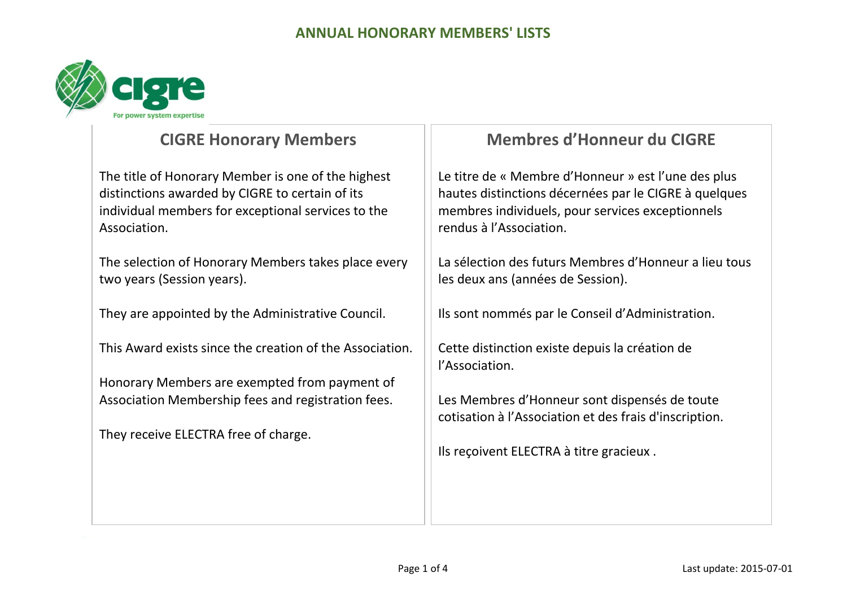

## **CIGRE Honorary Members**

The title of Honorary Member is one of the highest distinctions awarded by CIGRE to certain of its individual members for exceptional services to the Association.

The selection of Honorary Members takes place every two years (Session years).

They are appointed by the Administrative Council.

This Award exists since the creation of the Association.

Honorary Members are exempted from payment of Association Membership fees and registration fees.

They receive ELECTRA free of charge.

## **Membres d'Honneur du CIGRE**

Le titre de « Membre d'Honneur » est l'une des plus hautes distinctions décernées par le CIGRE à quelques membres individuels, pour services exceptionnels rendus à l'Association.

La sélection des futurs Membres d'Honneur a lieu tous les deux ans (années de Session).

Ils sont nommés par le Conseil d'Administration.

Cette distinction existe depuis la création de l'Association.

Les Membres d'Honneur sont dispensés de toute cotisation à l'Association et des frais d'inscription.

Ils reçoivent ELECTRA à titre gracieux .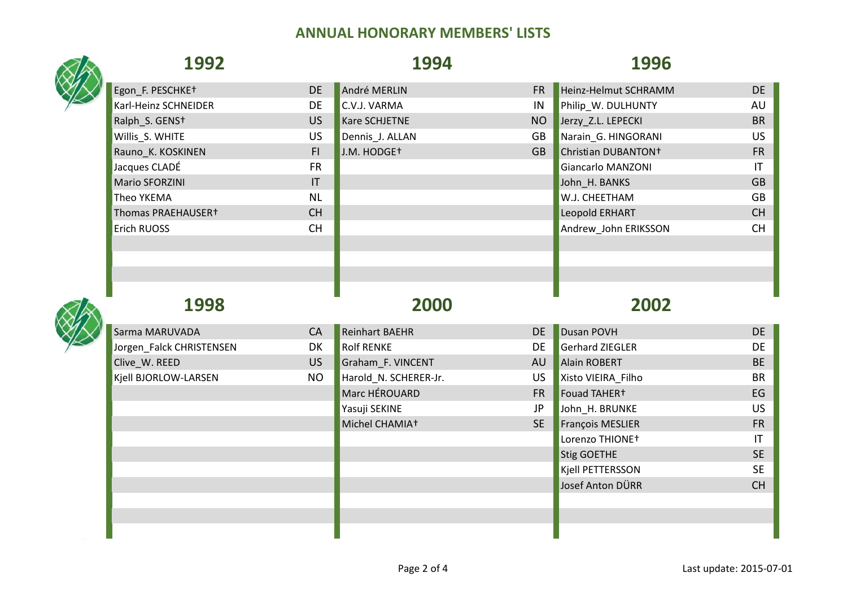| 1992                       |           | 1994                    |           | 1996                            |                        |
|----------------------------|-----------|-------------------------|-----------|---------------------------------|------------------------|
| Egon_F. PESCHKE+           | <b>DE</b> | André MERLIN            | <b>FR</b> | Heinz-Helmut SCHRAMM            | <b>DE</b>              |
| Karl-Heinz SCHNEIDER       | <b>DE</b> | C.V.J. VARMA            | IN        | Philip_W. DULHUNTY              | AU                     |
| Ralph S. GENS <sup>+</sup> | US        | Kare SCHJETNE           | <b>NO</b> | Jerzy Z.L. LEPECKI              | <b>BR</b>              |
| Willis_S. WHITE            | <b>US</b> | Dennis_J. ALLAN         | GB        | Narain_G. HINGORANI             | <b>US</b>              |
| Rauno_K. KOSKINEN          | F1        | J.M. HODGE <sup>+</sup> | <b>GB</b> | Christian DUBANTON <sup>+</sup> | <b>FR</b>              |
| Jacques CLADÉ              | <b>FR</b> |                         |           | <b>Giancarlo MANZONI</b>        | $\mathsf{I}\mathsf{T}$ |
| Mario SFORZINI             | IT        |                         |           | John_H. BANKS                   | <b>GB</b>              |
| Theo YKEMA                 | <b>NL</b> |                         |           | W.J. CHEETHAM                   | GB                     |
| Thomas PRAEHAUSER+         | CH        |                         |           | Leopold ERHART                  | CH                     |
| Erich RUOSS                | <b>CH</b> |                         |           | Andrew_John ERIKSSON            | <b>CH</b>              |
|                            |           |                         |           |                                 |                        |
|                            |           |                         |           |                                 |                        |
| 1998                       |           | 2000                    |           | 2002                            |                        |
| Sarma MARUVADA             | CA        | <b>Reinhart BAEHR</b>   | <b>DE</b> | Dusan POVH                      | <b>DE</b>              |
| Jorgen Falck CHRISTENSEN   | DK        | <b>Rolf RENKE</b>       | <b>DE</b> | <b>Gerhard ZIEGLER</b>          | DE                     |
| Clive_W. REED              | <b>US</b> | Graham_F. VINCENT       | AU        | <b>Alain ROBERT</b>             | <b>BE</b>              |
| Kjell BJORLOW-LARSEN       | <b>NO</b> | Harold_N. SCHERER-Jr.   | <b>US</b> | Xisto VIEIRA_Filho              | <b>BR</b>              |
|                            |           | Marc HÉROUARD           | <b>FR</b> | Fouad TAHER+                    | EG                     |
|                            |           | Yasuji SEKINE           | JP        | John_H. BRUNKE                  | US.                    |
|                            |           | Michel CHAMIA+          | <b>SE</b> | François MESLIER                | <b>FR</b>              |
|                            |           |                         |           | Lorenzo THIONE+                 | IT                     |
|                            |           |                         |           | <b>Stig GOETHE</b>              | <b>SE</b>              |
|                            |           |                         |           | Kjell PETTERSSON                | <b>SE</b>              |
|                            |           |                         |           | Josef Anton DÜRR                | CH                     |
|                            |           |                         |           |                                 |                        |
|                            |           |                         |           |                                 |                        |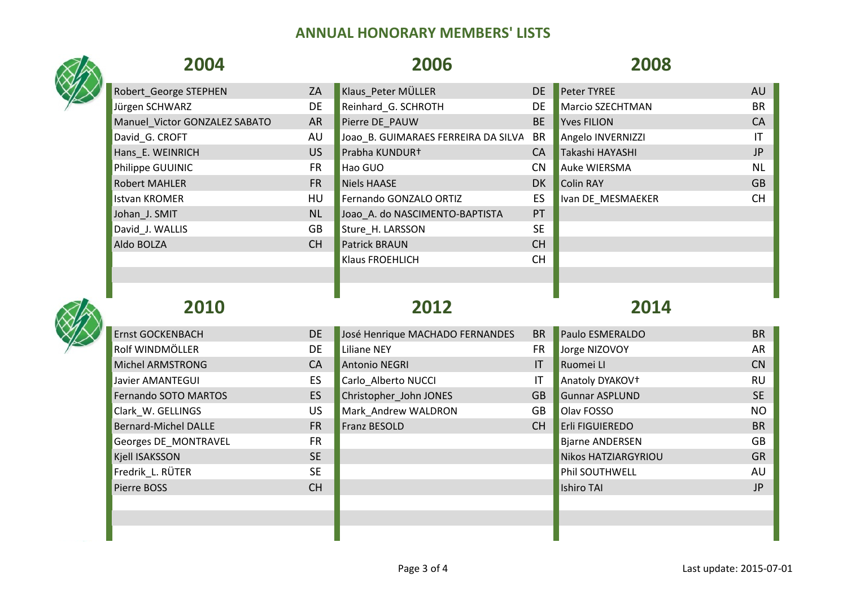## **2004 2006 2008** Robert George STEPHEN ZA Klaus Peter MÜLLER DE Peter TYREE AU AU Jürgen SCHWARZ DE Reinhard\_G. SCHROTH DE Marcio SZECHTMAN BR Manuel Victor GONZALEZ SABATO AR Pierre DE\_PAUW BE Yves FILION CA David G. CROFT THE AU JOAO B. GUIMARAES FERREIRA DA SILVA BR Angelo INVERNIZZI THE ANGELO IT Hans\_E. WEINRICH US Prabha KUNDUR† CA Takashi HAYASHI JP Philippe GUUINIC **FR** Hao GUO CN Auke WIERSMA NL Robert MAHLER FR Niels HAASE DK Colin RAY GB Istvan KROMER **EXAMPLE HU** Fernando GONZALO ORTIZ **ES IVAN DE MESMAEKER CH** Johan\_J. SMIT NU NU Joao\_A. do NASCIMENTO-BAPTISTA PT David J. WALLIS GB Sture H. LARSSON SE Aldo BOLZA CH Patrick BRAUN CH POLZA Klaus FROEHLICH CH **2010 2012 2014** Ernst GOCKENBACH DE DE José Henrique MACHADO FERNANDES BR Paulo ESMERALDO BR BR PAULO BR Rolf WINDMÖLLER DE Liliane NEY FR Jorge NIZOVOY AR Michel ARMSTRONG CA CA Antonio NEGRI IN CONTROLLER IT Ruomei LI CONTROLLER CONTROLLER CONTROLLER CONTROLLER CO Javier AMANTEGUI **EXACCI ES CARLO ALBERTO NUCCI IT Anatoly DYAKOV†** THE RU Fernando SOTO MARTOS ES Christopher John JONES GB Gunnar ASPLUND SE Clark W. GELLINGS CONSULTER STRUCK US Mark Andrew WALDRON GB Olav FOSSO CONSULTER STRUCK NO Bernard-Michel DALLE FR Franz BESOLD CH Erli FIGUIEREDO BR Georges DE\_MONTRAVEL FR Biarne ANDERSEN GB Kjell ISAKSSON SE SE NIKOS HATZIARGYRIOU GRANDSON GRANDSON SE NIKOS HATZIARGYRIOU GRANDSON GRANDSON GRANDSON G

Fredrik\_L. RÜTER SE Phil SOUTHWELL AU Pierre BOSS CH Ishiro TAI JP is the state of the state of the state of the state of the state of the state of t